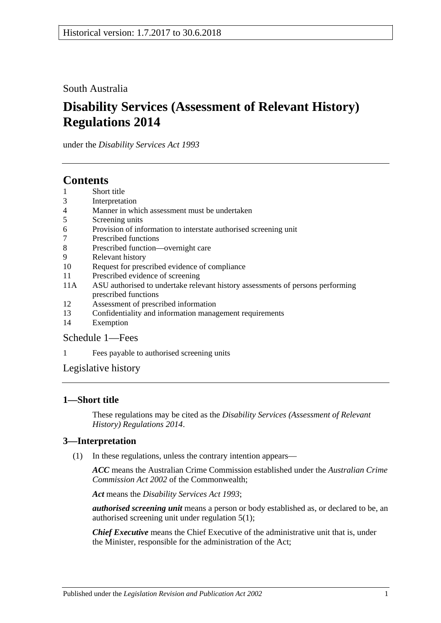South Australia

# **Disability Services (Assessment of Relevant History) Regulations 2014**

under the *Disability Services Act 1993*

# **Contents**

- 1 [Short title](#page-0-0)
- 3 [Interpretation](#page-0-1)
- 4 [Manner in which assessment must be undertaken](#page-1-0)
- 5 [Screening units](#page-1-1)
- 6 [Provision of information to interstate authorised screening unit](#page-1-2)
- 7 [Prescribed functions](#page-1-3)
- 8 [Prescribed function—overnight care](#page-2-0)
- 9 [Relevant history](#page-2-1)
- 10 [Request for prescribed evidence of compliance](#page-3-0)
- 11 [Prescribed evidence of screening](#page-3-1)
- 11A [ASU authorised to undertake relevant history assessments of persons performing](#page-3-2)  [prescribed functions](#page-3-2)
- 12 [Assessment of prescribed information](#page-3-3)
- 13 [Confidentiality and information management requirements](#page-4-0)
- 14 [Exemption](#page-4-1)

# [Schedule](#page-5-0) 1—Fees

1 [Fees payable to authorised screening units](#page-5-1)

[Legislative history](#page-6-0)

# <span id="page-0-0"></span>**1—Short title**

These regulations may be cited as the *Disability Services (Assessment of Relevant History) Regulations 2014*.

# <span id="page-0-1"></span>**3—Interpretation**

(1) In these regulations, unless the contrary intention appears—

*ACC* means the Australian Crime Commission established under the *Australian Crime Commission Act 2002* of the Commonwealth;

*Act* means the *[Disability Services Act](http://www.legislation.sa.gov.au/index.aspx?action=legref&type=act&legtitle=Disability%20Services%20Act%201993) 1993*;

*authorised screening unit* means a person or body established as, or declared to be, an authorised screening unit under [regulation](#page-1-4) 5(1);

*Chief Executive* means the Chief Executive of the administrative unit that is, under the Minister, responsible for the administration of the Act;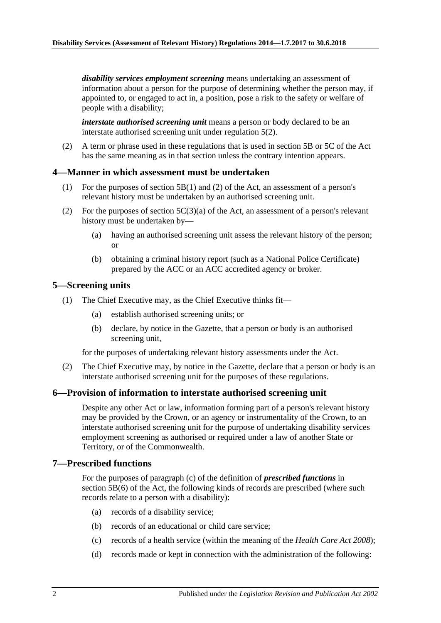*disability services employment screening* means undertaking an assessment of information about a person for the purpose of determining whether the person may, if appointed to, or engaged to act in, a position, pose a risk to the safety or welfare of people with a disability;

*interstate authorised screening unit* means a person or body declared to be an interstate authorised screening unit under [regulation](#page-1-5) 5(2).

(2) A term or phrase used in these regulations that is used in section 5B or 5C of the Act has the same meaning as in that section unless the contrary intention appears.

#### <span id="page-1-0"></span>**4—Manner in which assessment must be undertaken**

- (1) For the purposes of section 5B(1) and (2) of the Act, an assessment of a person's relevant history must be undertaken by an authorised screening unit.
- (2) For the purposes of section  $5C(3)(a)$  of the Act, an assessment of a person's relevant history must be undertaken by—
	- (a) having an authorised screening unit assess the relevant history of the person; or
	- (b) obtaining a criminal history report (such as a National Police Certificate) prepared by the ACC or an ACC accredited agency or broker.

### <span id="page-1-4"></span><span id="page-1-1"></span>**5—Screening units**

- (1) The Chief Executive may, as the Chief Executive thinks fit—
	- (a) establish authorised screening units; or
	- (b) declare, by notice in the Gazette, that a person or body is an authorised screening unit,

for the purposes of undertaking relevant history assessments under the Act.

<span id="page-1-5"></span>(2) The Chief Executive may, by notice in the Gazette, declare that a person or body is an interstate authorised screening unit for the purposes of these regulations.

#### <span id="page-1-2"></span>**6—Provision of information to interstate authorised screening unit**

Despite any other Act or law, information forming part of a person's relevant history may be provided by the Crown, or an agency or instrumentality of the Crown, to an interstate authorised screening unit for the purpose of undertaking disability services employment screening as authorised or required under a law of another State or Territory, or of the Commonwealth.

#### <span id="page-1-3"></span>**7—Prescribed functions**

For the purposes of paragraph (c) of the definition of *prescribed functions* in section 5B(6) of the Act, the following kinds of records are prescribed (where such records relate to a person with a disability):

- (a) records of a disability service;
- (b) records of an educational or child care service;
- (c) records of a health service (within the meaning of the *[Health Care Act](http://www.legislation.sa.gov.au/index.aspx?action=legref&type=act&legtitle=Health%20Care%20Act%202008) 2008*);
- (d) records made or kept in connection with the administration of the following: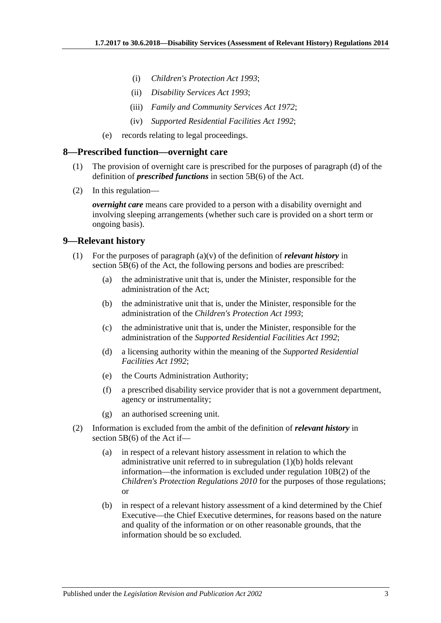- (i) *[Children's Protection Act](http://www.legislation.sa.gov.au/index.aspx?action=legref&type=act&legtitle=Childrens%20Protection%20Act%201993) 1993*;
- (ii) *[Disability Services Act](http://www.legislation.sa.gov.au/index.aspx?action=legref&type=act&legtitle=Disability%20Services%20Act%201993) 1993*;
- (iii) *[Family and Community Services Act](http://www.legislation.sa.gov.au/index.aspx?action=legref&type=act&legtitle=Family%20and%20Community%20Services%20Act%201972) 1972*;
- (iv) *[Supported Residential Facilities Act](http://www.legislation.sa.gov.au/index.aspx?action=legref&type=act&legtitle=Supported%20Residential%20Facilities%20Act%201992) 1992*;
- (e) records relating to legal proceedings.

#### <span id="page-2-0"></span>**8—Prescribed function—overnight care**

- (1) The provision of overnight care is prescribed for the purposes of paragraph (d) of the definition of *prescribed functions* in section 5B(6) of the Act.
- (2) In this regulation—

*overnight care* means care provided to a person with a disability overnight and involving sleeping arrangements (whether such care is provided on a short term or ongoing basis).

### <span id="page-2-1"></span>**9—Relevant history**

- <span id="page-2-2"></span>(1) For the purposes of paragraph (a)(v) of the definition of *relevant history* in section 5B(6) of the Act, the following persons and bodies are prescribed:
	- (a) the administrative unit that is, under the Minister, responsible for the administration of the Act;
	- (b) the administrative unit that is, under the Minister, responsible for the administration of the *[Children's Protection Act](http://www.legislation.sa.gov.au/index.aspx?action=legref&type=act&legtitle=Childrens%20Protection%20Act%201993) 1993*;
	- (c) the administrative unit that is, under the Minister, responsible for the administration of the *[Supported Residential Facilities Act](http://www.legislation.sa.gov.au/index.aspx?action=legref&type=act&legtitle=Supported%20Residential%20Facilities%20Act%201992) 1992*;
	- (d) a licensing authority within the meaning of the *[Supported Residential](http://www.legislation.sa.gov.au/index.aspx?action=legref&type=act&legtitle=Supported%20Residential%20Facilities%20Act%201992)  [Facilities Act](http://www.legislation.sa.gov.au/index.aspx?action=legref&type=act&legtitle=Supported%20Residential%20Facilities%20Act%201992) 1992*;
	- (e) the Courts Administration Authority;
	- (f) a prescribed disability service provider that is not a government department, agency or instrumentality;
	- (g) an authorised screening unit.
- (2) Information is excluded from the ambit of the definition of *relevant history* in section 5B(6) of the Act if—
	- (a) in respect of a relevant history assessment in relation to which the administrative unit referred to in [subregulation](#page-2-2) (1)(b) holds relevant information—the information is excluded under regulation 10B(2) of the *[Children's Protection Regulations](http://www.legislation.sa.gov.au/index.aspx?action=legref&type=subordleg&legtitle=Childrens%20Protection%20Regulations%202010) 2010* for the purposes of those regulations; or
	- (b) in respect of a relevant history assessment of a kind determined by the Chief Executive—the Chief Executive determines, for reasons based on the nature and quality of the information or on other reasonable grounds, that the information should be so excluded.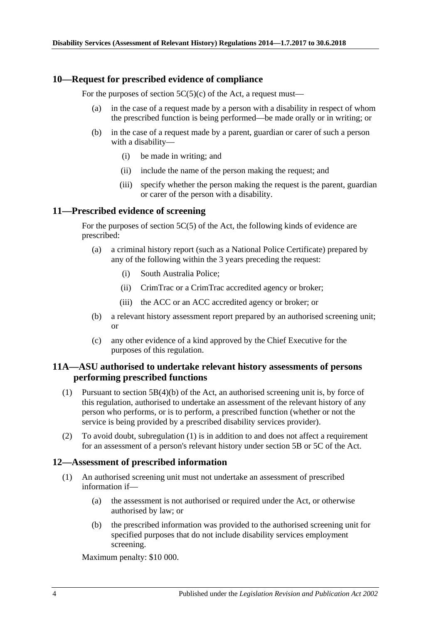### <span id="page-3-0"></span>**10—Request for prescribed evidence of compliance**

For the purposes of section  $5C(5)(c)$  of the Act, a request must—

- (a) in the case of a request made by a person with a disability in respect of whom the prescribed function is being performed—be made orally or in writing; or
- (b) in the case of a request made by a parent, guardian or carer of such a person with a disability—
	- (i) be made in writing; and
	- (ii) include the name of the person making the request; and
	- (iii) specify whether the person making the request is the parent, guardian or carer of the person with a disability.

### <span id="page-3-1"></span>**11—Prescribed evidence of screening**

For the purposes of section 5C(5) of the Act, the following kinds of evidence are prescribed:

- (a) a criminal history report (such as a National Police Certificate) prepared by any of the following within the 3 years preceding the request:
	- (i) South Australia Police;
	- (ii) CrimTrac or a CrimTrac accredited agency or broker;
	- (iii) the ACC or an ACC accredited agency or broker; or
- (b) a relevant history assessment report prepared by an authorised screening unit; or
- (c) any other evidence of a kind approved by the Chief Executive for the purposes of this regulation.

# <span id="page-3-2"></span>**11A—ASU authorised to undertake relevant history assessments of persons performing prescribed functions**

- <span id="page-3-4"></span>(1) Pursuant to section 5B(4)(b) of the Act, an authorised screening unit is, by force of this regulation, authorised to undertake an assessment of the relevant history of any person who performs, or is to perform, a prescribed function (whether or not the service is being provided by a prescribed disability services provider).
- (2) To avoid doubt, [subregulation](#page-3-4) (1) is in addition to and does not affect a requirement for an assessment of a person's relevant history under section 5B or 5C of the Act.

#### <span id="page-3-3"></span>**12—Assessment of prescribed information**

- (1) An authorised screening unit must not undertake an assessment of prescribed information if—
	- (a) the assessment is not authorised or required under the Act, or otherwise authorised by law; or
	- (b) the prescribed information was provided to the authorised screening unit for specified purposes that do not include disability services employment screening.

Maximum penalty: \$10 000.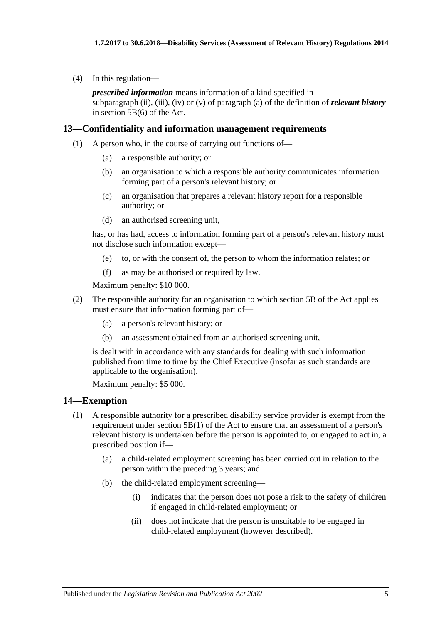(4) In this regulation—

*prescribed information* means information of a kind specified in subparagraph (ii), (iii), (iv) or (v) of paragraph (a) of the definition of *relevant history* in section 5B(6) of the Act.

## <span id="page-4-0"></span>**13—Confidentiality and information management requirements**

- (1) A person who, in the course of carrying out functions of—
	- (a) a responsible authority; or
	- (b) an organisation to which a responsible authority communicates information forming part of a person's relevant history; or
	- (c) an organisation that prepares a relevant history report for a responsible authority; or
	- (d) an authorised screening unit,

has, or has had, access to information forming part of a person's relevant history must not disclose such information except—

- (e) to, or with the consent of, the person to whom the information relates; or
- (f) as may be authorised or required by law.

Maximum penalty: \$10 000.

- (2) The responsible authority for an organisation to which section 5B of the Act applies must ensure that information forming part of—
	- (a) a person's relevant history; or
	- (b) an assessment obtained from an authorised screening unit,

is dealt with in accordance with any standards for dealing with such information published from time to time by the Chief Executive (insofar as such standards are applicable to the organisation).

Maximum penalty: \$5 000.

#### <span id="page-4-1"></span>**14—Exemption**

- (1) A responsible authority for a prescribed disability service provider is exempt from the requirement under section 5B(1) of the Act to ensure that an assessment of a person's relevant history is undertaken before the person is appointed to, or engaged to act in, a prescribed position if—
	- (a) a child-related employment screening has been carried out in relation to the person within the preceding 3 years; and
	- (b) the child-related employment screening—
		- (i) indicates that the person does not pose a risk to the safety of children if engaged in child-related employment; or
		- (ii) does not indicate that the person is unsuitable to be engaged in child-related employment (however described).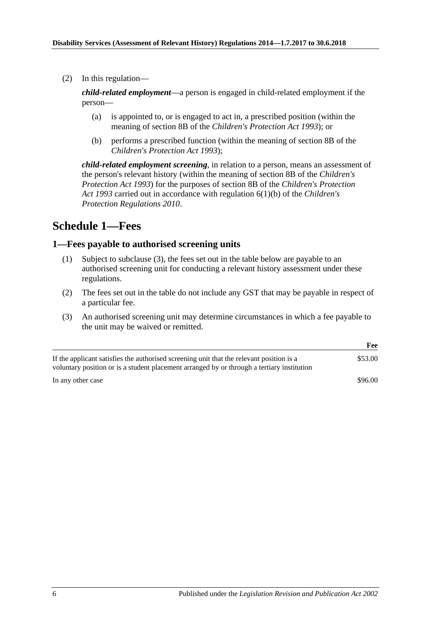(2) In this regulation—

*child-related employment*—a person is engaged in child-related employment if the person—

- (a) is appointed to, or is engaged to act in, a prescribed position (within the meaning of section 8B of the *[Children's Protection Act](http://www.legislation.sa.gov.au/index.aspx?action=legref&type=act&legtitle=Childrens%20Protection%20Act%201993) 1993*); or
- (b) performs a prescribed function (within the meaning of section 8B of the *[Children's Protection Act](http://www.legislation.sa.gov.au/index.aspx?action=legref&type=act&legtitle=Childrens%20Protection%20Act%201993) 1993*);

*child-related employment screening*, in relation to a person, means an assessment of the person's relevant history (within the meaning of section 8B of the *[Children's](http://www.legislation.sa.gov.au/index.aspx?action=legref&type=act&legtitle=Childrens%20Protection%20Act%201993)  [Protection Act](http://www.legislation.sa.gov.au/index.aspx?action=legref&type=act&legtitle=Childrens%20Protection%20Act%201993) 1993*) for the purposes of section 8B of the *[Children's Protection](http://www.legislation.sa.gov.au/index.aspx?action=legref&type=act&legtitle=Childrens%20Protection%20Act%201993)  Act [1993](http://www.legislation.sa.gov.au/index.aspx?action=legref&type=act&legtitle=Childrens%20Protection%20Act%201993)* carried out in accordance with regulation 6(1)(b) of the *[Children's](http://www.legislation.sa.gov.au/index.aspx?action=legref&type=subordleg&legtitle=Childrens%20Protection%20Regulations%202010)  [Protection Regulations](http://www.legislation.sa.gov.au/index.aspx?action=legref&type=subordleg&legtitle=Childrens%20Protection%20Regulations%202010) 2010*.

# <span id="page-5-0"></span>**Schedule 1—Fees**

# <span id="page-5-1"></span>**1—Fees payable to authorised screening units**

- (1) Subject to [subclause](#page-5-2) (3), the fees set out in the table below are payable to an authorised screening unit for conducting a relevant history assessment under these regulations.
- (2) The fees set out in the table do not include any GST that may be payable in respect of a particular fee.
- <span id="page-5-2"></span>(3) An authorised screening unit may determine circumstances in which a fee payable to the unit may be waived or remitted.

|                                                                                                                                                                                        | Fee     |
|----------------------------------------------------------------------------------------------------------------------------------------------------------------------------------------|---------|
| If the applicant satisfies the authorised screening unit that the relevant position is a<br>voluntary position or is a student placement arranged by or through a tertiary institution | \$53.00 |
| In any other case                                                                                                                                                                      | \$96.00 |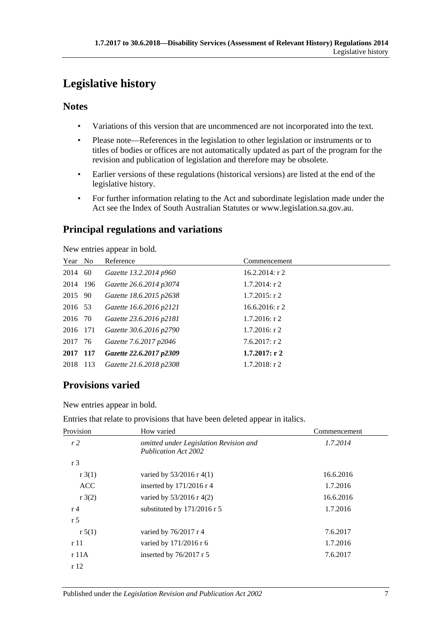# <span id="page-6-0"></span>**Legislative history**

# **Notes**

- Variations of this version that are uncommenced are not incorporated into the text.
- Please note—References in the legislation to other legislation or instruments or to titles of bodies or offices are not automatically updated as part of the program for the revision and publication of legislation and therefore may be obsolete.
- Earlier versions of these regulations (historical versions) are listed at the end of the legislative history.
- For further information relating to the Act and subordinate legislation made under the Act see the Index of South Australian Statutes or www.legislation.sa.gov.au.

# **Principal regulations and variations**

New entries appear in bold.

| Year No  | Reference               | Commencement      |
|----------|-------------------------|-------------------|
| 2014 60  | Gazette 13.2.2014 p960  | $16.2.2014$ : r 2 |
| 2014 196 | Gazette 26.6.2014 p3074 | $1.7.2014$ : r 2  |
| 2015 90  | Gazette 18.6.2015 p2638 | $1.7.2015$ : r 2  |
| 2016 53  | Gazette 16.6.2016 p2121 | 16.6.2016: $r$ 2  |
| 2016 70  | Gazette 23.6.2016 p2181 | $1.7.2016$ : r 2  |
| 2016 171 | Gazette 30.6.2016 p2790 | $1.7.2016$ : r 2  |
| 2017 76  | Gazette 7.6.2017 p2046  | 7.6.2017: r2      |
| 2017 117 | Gazette 22.6.2017 p2309 | $1.7.2017:$ r 2   |
| 2018 113 | Gazette 21.6.2018 p2308 | $1.7.2018$ : r 2  |

# **Provisions varied**

New entries appear in bold.

Entries that relate to provisions that have been deleted appear in italics.

| Provision      | How varied                                                            | Commencement |
|----------------|-----------------------------------------------------------------------|--------------|
| r2             | omitted under Legislation Revision and<br><b>Publication Act 2002</b> | 1.7.2014     |
| r <sub>3</sub> |                                                                       |              |
| r3(1)          | varied by $53/2016$ r 4(1)                                            | 16.6.2016    |
| <b>ACC</b>     | inserted by $171/2016$ r 4                                            | 1.7.2016     |
| r3(2)          | varied by 53/2016 r 4(2)                                              | 16.6.2016    |
| r <sub>4</sub> | substituted by $171/2016$ r 5                                         | 1.7.2016     |
| r <sub>5</sub> |                                                                       |              |
| r 5(1)         | varied by 76/2017 r 4                                                 | 7.6.2017     |
| r11            | varied by 171/2016 r 6                                                | 1.7.2016     |
| r 11A          | inserted by $76/2017$ r 5                                             | 7.6.2017     |
| r12            |                                                                       |              |